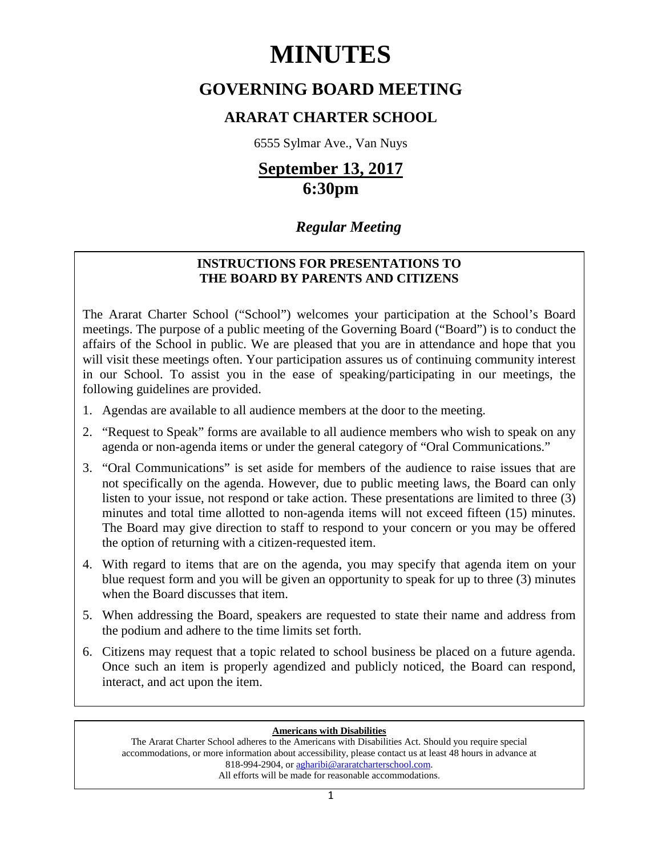# **MINUTES**

# **GOVERNING BOARD MEETING**

# **ARARAT CHARTER SCHOOL**

6555 Sylmar Ave., Van Nuys

# **September 13, 2017 6:30pm**

# *Regular Meeting*

## **INSTRUCTIONS FOR PRESENTATIONS TO THE BOARD BY PARENTS AND CITIZENS**

The Ararat Charter School ("School") welcomes your participation at the School's Board meetings. The purpose of a public meeting of the Governing Board ("Board") is to conduct the affairs of the School in public. We are pleased that you are in attendance and hope that you will visit these meetings often. Your participation assures us of continuing community interest in our School. To assist you in the ease of speaking/participating in our meetings, the following guidelines are provided.

- 1. Agendas are available to all audience members at the door to the meeting.
- 2. "Request to Speak" forms are available to all audience members who wish to speak on any agenda or non-agenda items or under the general category of "Oral Communications."
- 3. "Oral Communications" is set aside for members of the audience to raise issues that are not specifically on the agenda. However, due to public meeting laws, the Board can only listen to your issue, not respond or take action. These presentations are limited to three (3) minutes and total time allotted to non-agenda items will not exceed fifteen (15) minutes. The Board may give direction to staff to respond to your concern or you may be offered the option of returning with a citizen-requested item.
- 4. With regard to items that are on the agenda, you may specify that agenda item on your blue request form and you will be given an opportunity to speak for up to three (3) minutes when the Board discusses that item.
- 5. When addressing the Board, speakers are requested to state their name and address from the podium and adhere to the time limits set forth.
- 6. Citizens may request that a topic related to school business be placed on a future agenda. Once such an item is properly agendized and publicly noticed, the Board can respond, interact, and act upon the item.

## **Americans with Disabilities**

The Ararat Charter School adheres to the Americans with Disabilities Act. Should you require special accommodations, or more information about accessibility, please contact us at least 48 hours in advance at 818-994-2904, or agharibi@araratcharterschool.com. All efforts will be made for reasonable accommodations.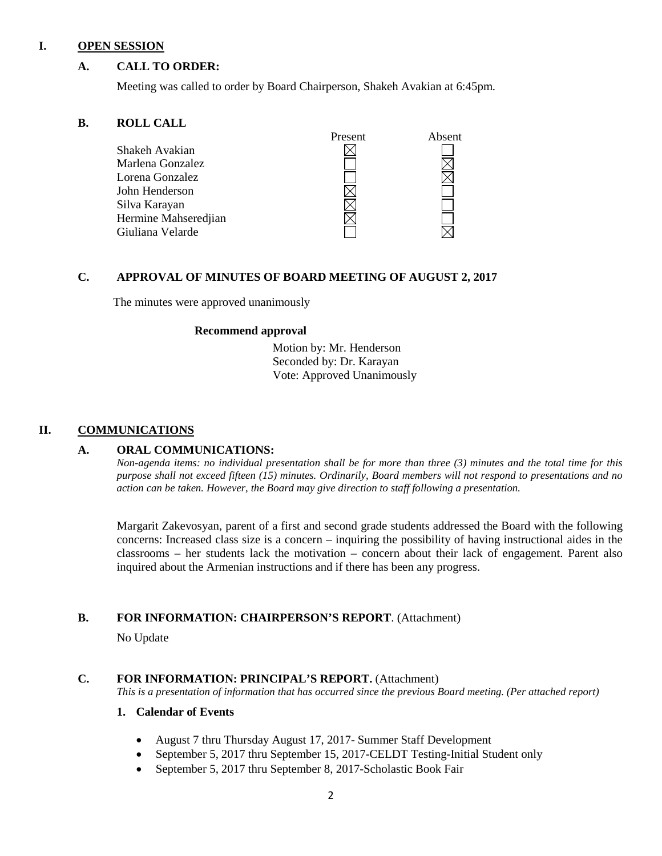#### **I. OPEN SESSION**

## **A. CALL TO ORDER:**

Meeting was called to order by Board Chairperson, Shakeh Avakian at 6:45pm.

#### **B. ROLL CALL**



## **C. APPROVAL OF MINUTES OF BOARD MEETING OF AUGUST 2, 2017**

The minutes were approved unanimously

#### **Recommend approval**

 Motion by: Mr. Henderson Seconded by: Dr. Karayan Vote: Approved Unanimously

## **II. COMMUNICATIONS**

#### **A. ORAL COMMUNICATIONS:**

*Non-agenda items: no individual presentation shall be for more than three (3) minutes and the total time for this purpose shall not exceed fifteen (15) minutes. Ordinarily, Board members will not respond to presentations and no action can be taken. However, the Board may give direction to staff following a presentation.*

Margarit Zakevosyan, parent of a first and second grade students addressed the Board with the following concerns: Increased class size is a concern – inquiring the possibility of having instructional aides in the classrooms – her students lack the motivation – concern about their lack of engagement. Parent also inquired about the Armenian instructions and if there has been any progress.

## **B. FOR INFORMATION: CHAIRPERSON'S REPORT**. (Attachment)

No Update

#### **C. FOR INFORMATION: PRINCIPAL'S REPORT.** (Attachment)

*This is a presentation of information that has occurred since the previous Board meeting. (Per attached report)*

#### **1. Calendar of Events**

- August 7 thru Thursday August 17, 2017- Summer Staff Development
- September 5, 2017 thru September 15, 2017-CELDT Testing-Initial Student only
- September 5, 2017 thru September 8, 2017-Scholastic Book Fair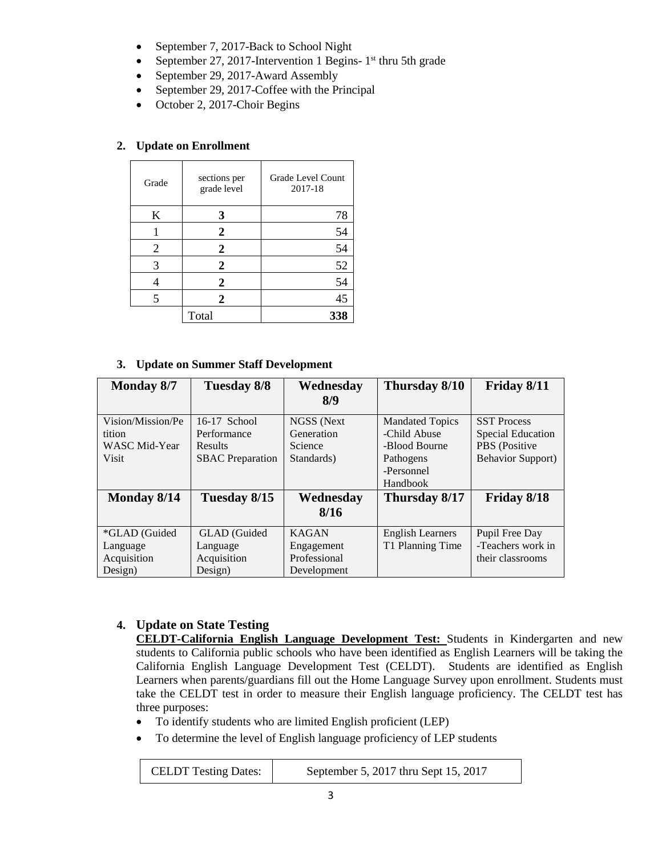- September 7, 2017-Back to School Night
- September 27, 2017-Intervention 1 Begins-  $1<sup>st</sup>$  thru 5th grade
- September 29, 2017-Award Assembly
- September 29, 2017-Coffee with the Principal
- October 2, 2017-Choir Begins

## **2. Update on Enrollment**

| Grade | sections per<br>grade level | Grade Level Count<br>2017-18 |
|-------|-----------------------------|------------------------------|
| K     | 3                           | 78                           |
|       | 2                           | 54                           |
| 2     | $\mathbf{2}$                | 54                           |
| 3     | $\overline{2}$              | 52                           |
|       | $\overline{2}$              | 54                           |
| 5     | 2                           | 45                           |
|       | Total                       | 338                          |

## **3. Update on Summer Staff Development**

| <b>Monday 8/7</b>    | Tuesday 8/8             | Wednesday    | Thursday 8/10           | Friday 8/11               |
|----------------------|-------------------------|--------------|-------------------------|---------------------------|
|                      |                         | 8/9          |                         |                           |
| Vision/Mission/Pe    | $16-17$ School          | NGSS (Next   | <b>Mandated Topics</b>  | <b>SST Process</b>        |
| tition               | Performance             | Generation   | -Child Abuse            | <b>Special Education</b>  |
| <b>WASC Mid-Year</b> | <b>Results</b>          | Science      | -Blood Bourne           | PBS (Positive             |
| <b>Visit</b>         | <b>SBAC</b> Preparation | Standards)   | Pathogens               | <b>Behavior Support</b> ) |
|                      |                         |              | -Personnel              |                           |
|                      |                         |              | Handbook                |                           |
| Monday 8/14          | Tuesday 8/15            | Wednesday    | Thursday 8/17           | Friday 8/18               |
|                      |                         | 8/16         |                         |                           |
| *GLAD (Guided        | GLAD (Guided            | <b>KAGAN</b> | <b>English Learners</b> | Pupil Free Day            |
| Language             | Language                | Engagement   | T1 Planning Time        | -Teachers work in         |
| Acquisition          | Acquisition             | Professional |                         | their classrooms          |
| Design)              | Design)                 | Development  |                         |                           |

## **4. Update on State Testing**

**CELDT-California English Language Development Test:** Students in Kindergarten and new students to California public schools who have been identified as English Learners will be taking the California English Language Development Test (CELDT). Students are identified as English Learners when parents/guardians fill out the Home Language Survey upon enrollment. Students must take the CELDT test in order to measure their English language proficiency. The CELDT test has three purposes:

- To identify students who are limited English proficient (LEP)
- To determine the level of English language proficiency of LEP students

| <b>CELDT</b> Testing Dates: | September 5, 2017 thru Sept 15, 2017 |
|-----------------------------|--------------------------------------|
|-----------------------------|--------------------------------------|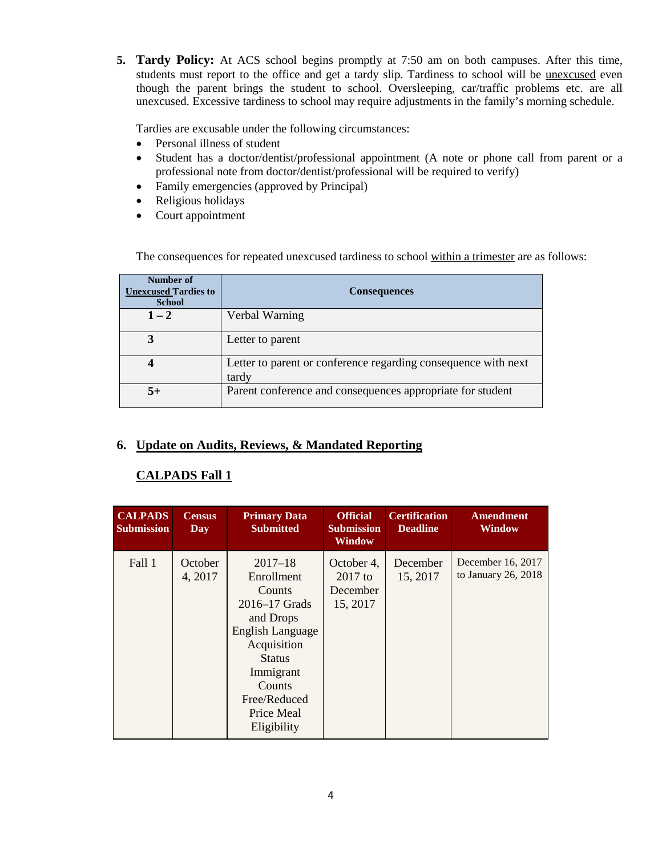**5. Tardy Policy:** At ACS school begins promptly at 7:50 am on both campuses. After this time, students must report to the office and get a tardy slip. Tardiness to school will be unexcused even though the parent brings the student to school. Oversleeping, car/traffic problems etc. are all unexcused. Excessive tardiness to school may require adjustments in the family's morning schedule.

Tardies are excusable under the following circumstances:

- Personal illness of student
- Student has a doctor/dentist/professional appointment (A note or phone call from parent or a professional note from doctor/dentist/professional will be required to verify)
- Family emergencies (approved by Principal)
- Religious holidays
- Court appointment

The consequences for repeated unexcused tardiness to school within a trimester are as follows:

| Number of<br><b>Unexcused Tardies to</b><br><b>School</b> | <b>Consequences</b>                                                     |  |
|-----------------------------------------------------------|-------------------------------------------------------------------------|--|
| $1 - 2$                                                   | Verbal Warning                                                          |  |
|                                                           | Letter to parent                                                        |  |
|                                                           | Letter to parent or conference regarding consequence with next<br>tardy |  |
| $5+$                                                      | Parent conference and consequences appropriate for student              |  |

## **6. Update on Audits, Reviews, & Mandated Reporting**

## **CALPADS Fall 1**

| <b>CALPADS</b><br><b>Submission</b> | <b>Census</b><br>Day | <b>Primary Data</b><br><b>Submitted</b>                                                                                                                                                   | <b>Official</b><br><b>Submission</b><br>Window  | <b>Certification</b><br><b>Deadline</b> | <b>Amendment</b><br><b>Window</b>        |
|-------------------------------------|----------------------|-------------------------------------------------------------------------------------------------------------------------------------------------------------------------------------------|-------------------------------------------------|-----------------------------------------|------------------------------------------|
| Fall 1                              | October<br>4, 2017   | $2017 - 18$<br>Enrollment<br>Counts<br>2016–17 Grads<br>and Drops<br>English Language<br>Acquisition<br><b>Status</b><br>Immigrant<br>Counts<br>Free/Reduced<br>Price Meal<br>Eligibility | October 4,<br>$2017$ to<br>December<br>15, 2017 | December<br>15, 2017                    | December 16, 2017<br>to January 26, 2018 |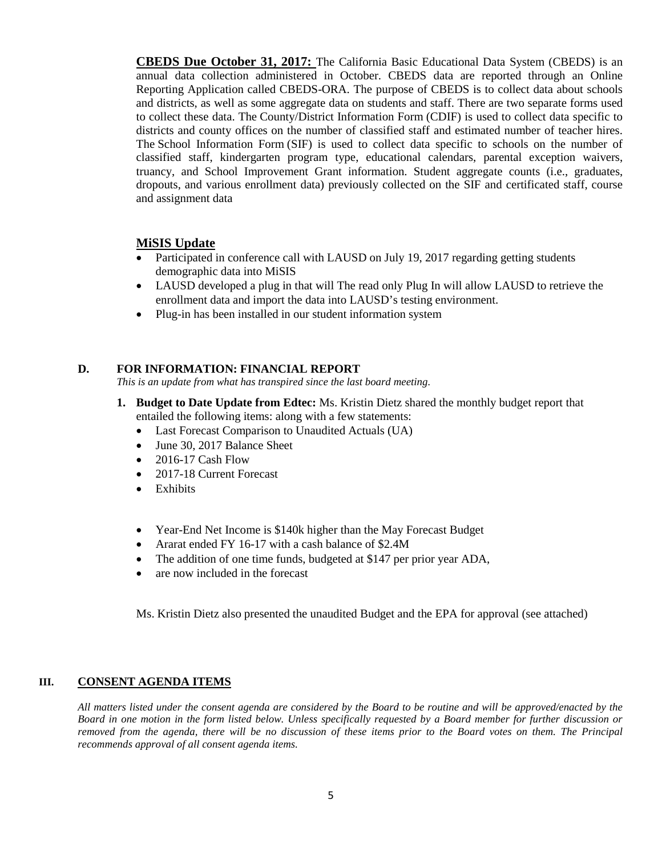**CBEDS Due October 31, 2017:** The California Basic Educational Data System (CBEDS) is an annual data collection administered in October. CBEDS data are reported through an Online Reporting Application called CBEDS-ORA. The purpose of CBEDS is to collect data about schools and districts, as well as some aggregate data on students and staff. There are two separate forms used to collect these data. The County/District Information Form (CDIF) is used to collect data specific to districts and county offices on the number of classified staff and estimated number of teacher hires. The School Information Form (SIF) is used to collect data specific to schools on the number of classified staff, kindergarten program type, educational calendars, parental exception waivers, truancy, and School Improvement Grant information. Student aggregate counts (i.e., graduates, dropouts, and various enrollment data) previously collected on the SIF and certificated staff, course and assignment data

## **MiSIS Update**

- Participated in conference call with LAUSD on July 19, 2017 regarding getting students demographic data into MiSIS
- LAUSD developed a plug in that will The read only Plug In will allow LAUSD to retrieve the enrollment data and import the data into LAUSD's testing environment.
- Plug-in has been installed in our student information system

## **D. FOR INFORMATION: FINANCIAL REPORT**

*This is an update from what has transpired since the last board meeting.* 

- **1. Budget to Date Update from Edtec:** Ms. Kristin Dietz shared the monthly budget report that entailed the following items: along with a few statements:
	- Last Forecast Comparison to Unaudited Actuals (UA)
	- June 30, 2017 Balance Sheet
	- 2016-17 Cash Flow
	- 2017-18 Current Forecast
	- Exhibits
	- Year-End Net Income is \$140k higher than the May Forecast Budget
	- Ararat ended FY 16-17 with a cash balance of \$2.4M
	- The addition of one time funds, budgeted at \$147 per prior year ADA,
	- are now included in the forecast

Ms. Kristin Dietz also presented the unaudited Budget and the EPA for approval (see attached)

#### **III. CONSENT AGENDA ITEMS**

*All matters listed under the consent agenda are considered by the Board to be routine and will be approved/enacted by the Board in one motion in the form listed below. Unless specifically requested by a Board member for further discussion or removed from the agenda, there will be no discussion of these items prior to the Board votes on them. The Principal recommends approval of all consent agenda items.*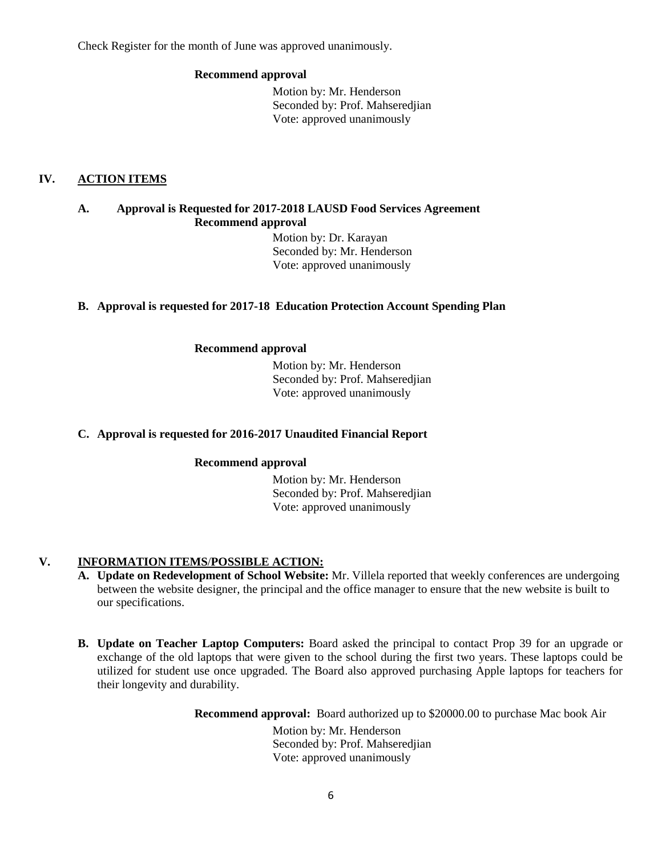Check Register for the month of June was approved unanimously.

## **Recommend approval**

 Motion by: Mr. Henderson Seconded by: Prof. Mahseredjian Vote: approved unanimously

## **IV. ACTION ITEMS**

## **A. Approval is Requested for 2017-2018 LAUSD Food Services Agreement Recommend approval**

 Motion by: Dr. Karayan Seconded by: Mr. Henderson Vote: approved unanimously

## **B. Approval is requested for 2017-18 Education Protection Account Spending Plan**

## **Recommend approval**

 Motion by: Mr. Henderson Seconded by: Prof. Mahseredjian Vote: approved unanimously

## **C. Approval is requested for 2016-2017 Unaudited Financial Report**

## **Recommend approval**

 Motion by: Mr. Henderson Seconded by: Prof. Mahseredjian Vote: approved unanimously

## **V. INFORMATION ITEMS**/**POSSIBLE ACTION:**

- **A. Update on Redevelopment of School Website:** Mr. Villela reported that weekly conferences are undergoing between the website designer, the principal and the office manager to ensure that the new website is built to our specifications.
- **B. Update on Teacher Laptop Computers:** Board asked the principal to contact Prop 39 for an upgrade or exchange of the old laptops that were given to the school during the first two years. These laptops could be utilized for student use once upgraded. The Board also approved purchasing Apple laptops for teachers for their longevity and durability.

**Recommend approval:** Board authorized up to \$20000.00 to purchase Mac book Air

 Motion by: Mr. Henderson Seconded by: Prof. Mahseredjian Vote: approved unanimously